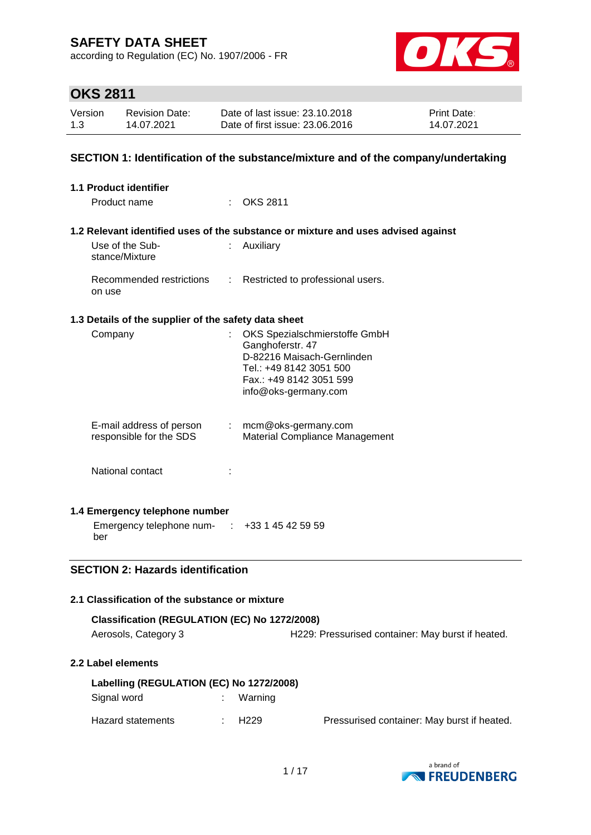according to Regulation (EC) No. 1907/2006 - FR



# **OKS 2811**

| Version | <b>Revision Date:</b> | Date of last issue: 23.10.2018  | <b>Print Date:</b> |
|---------|-----------------------|---------------------------------|--------------------|
| 1.3     | 14.07.2021            | Date of first issue: 23,06,2016 | 14.07.2021         |

#### **SECTION 1: Identification of the substance/mixture and of the company/undertaking**

| 1.1 Product identifier                               |    |                                                                                                                                                               |
|------------------------------------------------------|----|---------------------------------------------------------------------------------------------------------------------------------------------------------------|
| Product name                                         | ÷  | OKS 2811                                                                                                                                                      |
|                                                      |    | 1.2 Relevant identified uses of the substance or mixture and uses advised against                                                                             |
| Use of the Sub-<br>stance/Mixture                    |    | Auxiliary                                                                                                                                                     |
| Recommended restrictions<br>on use                   |    | : Restricted to professional users.                                                                                                                           |
| 1.3 Details of the supplier of the safety data sheet |    |                                                                                                                                                               |
| Company                                              | t. | OKS Spezialschmierstoffe GmbH<br>Ganghoferstr. 47<br>D-82216 Maisach-Gernlinden<br>Tel.: +49 8142 3051 500<br>Fax.: +49 8142 3051 599<br>info@oks-germany.com |
| E-mail address of person<br>responsible for the SDS  |    | $:$ mcm@oks-germany.com<br>Material Compliance Management                                                                                                     |
| National contact                                     |    |                                                                                                                                                               |
| 1.4 Emergency telephone number                       |    |                                                                                                                                                               |
| Emergency telephone num- : +33 1 45 42 59 59<br>ber  |    |                                                                                                                                                               |
| <b>SECTION 2: Hazards identification</b>             |    |                                                                                                                                                               |
| 2.1 Classification of the substance or mixture       |    |                                                                                                                                                               |
| Classification (REGULATION (EC) No 1272/2008)        |    |                                                                                                                                                               |
| Aerosols, Category 3                                 |    | H229: Pressurised container: May burst if heated.                                                                                                             |
| 2.2 Label elements                                   |    |                                                                                                                                                               |

| Labelling (REGULATION (EC) No 1272/2008) |  |            |                                             |  |  |
|------------------------------------------|--|------------|---------------------------------------------|--|--|
| Signal word                              |  | : Warning  |                                             |  |  |
| Hazard statements                        |  | $\pm$ H229 | Pressurised container: May burst if heated. |  |  |

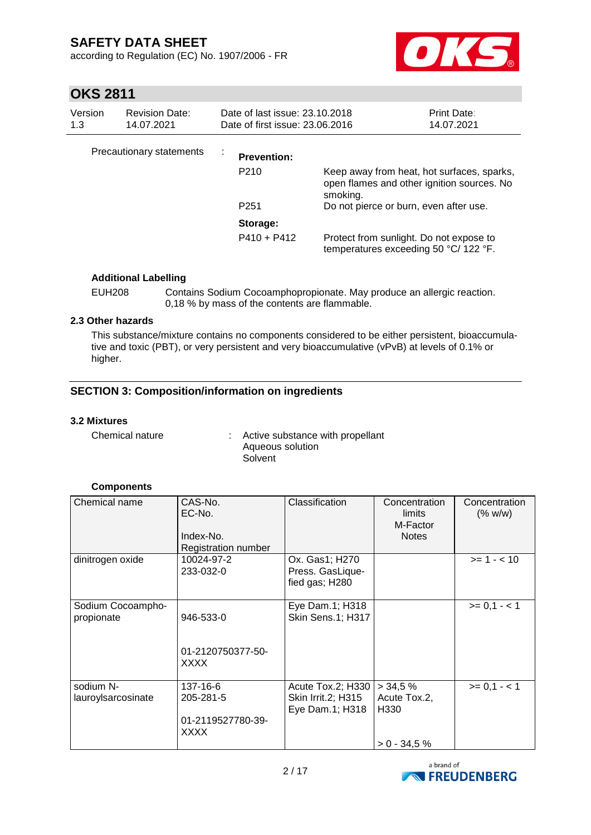according to Regulation (EC) No. 1907/2006 - FR



# **OKS 2811**

| Version<br>1.3 | <b>Revision Date:</b><br>14.07.2021 | Date of last issue: 23.10.2018<br>Date of first issue: 23,06,2016 |                                                                                                      | <b>Print Date:</b><br>14.07.2021 |
|----------------|-------------------------------------|-------------------------------------------------------------------|------------------------------------------------------------------------------------------------------|----------------------------------|
|                | Precautionary statements            | <b>Prevention:</b>                                                |                                                                                                      |                                  |
|                |                                     | P <sub>210</sub>                                                  | Keep away from heat, hot surfaces, sparks,<br>open flames and other ignition sources. No<br>smoking. |                                  |
|                |                                     | P <sub>251</sub>                                                  | Do not pierce or burn, even after use.                                                               |                                  |
|                |                                     | Storage:                                                          |                                                                                                      |                                  |
|                |                                     | $P410 + P412$                                                     | Protect from sunlight. Do not expose to<br>temperatures exceeding 50 $^{\circ}$ C/ 122 $^{\circ}$ F. |                                  |

#### **Additional Labelling**

EUH208 Contains Sodium Cocoamphopropionate. May produce an allergic reaction. 0,18 % by mass of the contents are flammable.

#### **2.3 Other hazards**

This substance/mixture contains no components considered to be either persistent, bioaccumulative and toxic (PBT), or very persistent and very bioaccumulative (vPvB) at levels of 0.1% or higher.

#### **SECTION 3: Composition/information on ingredients**

#### **3.2 Mixtures**

Chemical nature : Active substance with propellant Aqueous solution **Solvent** 

#### **Components**

| Chemical name                   | CAS-No.<br>EC-No.<br>Index-No.<br>Registration number | Classification                                                    | Concentration<br>limits<br>M-Factor<br><b>Notes</b>           | Concentration<br>(% w/w) |
|---------------------------------|-------------------------------------------------------|-------------------------------------------------------------------|---------------------------------------------------------------|--------------------------|
| dinitrogen oxide                | 10024-97-2<br>233-032-0                               | Ox. Gas1; H270<br>Press. GasLique-<br>fied gas; H280              |                                                               | $>= 1 - 10$              |
| Sodium Cocoampho-<br>propionate | 946-533-0<br>01-2120750377-50-<br>XXXX                | Eye Dam.1; H318<br>Skin Sens.1; H317                              |                                                               | $>= 0,1 - 1$             |
| sodium N-<br>lauroylsarcosinate | 137-16-6<br>205-281-5<br>01-2119527780-39-<br>XXXX    | Acute Tox.2; H330<br><b>Skin Irrit.2; H315</b><br>Eye Dam.1; H318 | > 34.5%<br>Acute Tox.2,<br>H <sub>330</sub><br>$> 0 - 34.5 %$ | $>= 0.1 - 1$             |

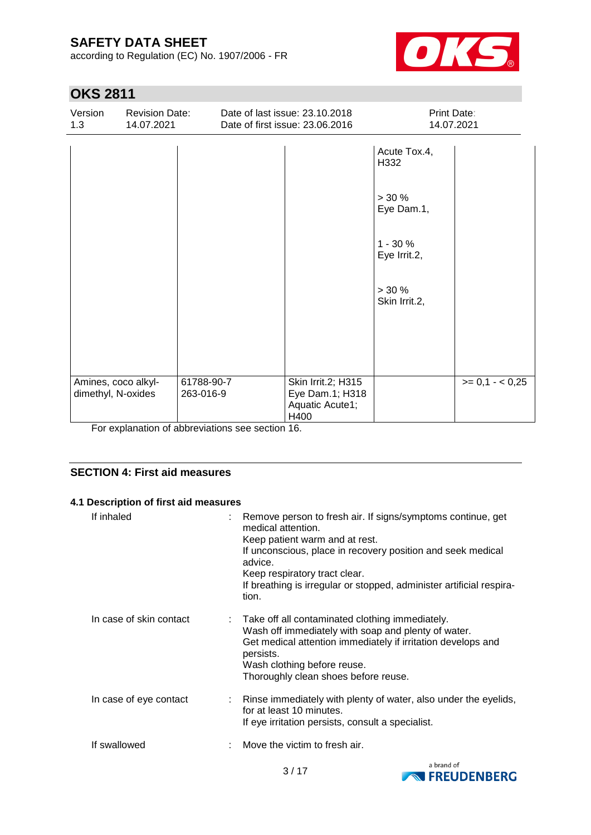according to Regulation (EC) No. 1907/2006 - FR



# **OKS 2811**

| Version<br>1.3                                              | <b>Revision Date:</b><br>14.07.2021           |                         | Date of last issue: 23.10.2018<br>Date of first issue: 23.06.2016          | Print Date:<br>14.07.2021   |                 |  |
|-------------------------------------------------------------|-----------------------------------------------|-------------------------|----------------------------------------------------------------------------|-----------------------------|-----------------|--|
|                                                             |                                               |                         |                                                                            | Acute Tox.4,<br>H332        |                 |  |
|                                                             |                                               |                         |                                                                            | $> 30 \%$<br>Eye Dam.1,     |                 |  |
|                                                             |                                               |                         |                                                                            | $1 - 30 \%$<br>Eye Irrit.2, |                 |  |
|                                                             |                                               |                         |                                                                            | $> 30 \%$<br>Skin Irrit.2,  |                 |  |
|                                                             |                                               |                         |                                                                            |                             |                 |  |
|                                                             |                                               |                         |                                                                            |                             |                 |  |
| Amines, coco alkyl-<br>dimethyl, N-oxides<br>$\blacksquare$ | the first project of the first project of the | 61788-90-7<br>263-016-9 | Skin Irrit.2; H315<br>Eye Dam.1; H318<br>Aquatic Acute1;<br>H400<br>$\sim$ |                             | $>= 0.1 - 0.25$ |  |

For explanation of abbreviations see section 16.

#### **SECTION 4: First aid measures**

#### **4.1 Description of first aid measures**

| If inhaled              | : Remove person to fresh air. If signs/symptoms continue, get<br>medical attention.<br>Keep patient warm and at rest.<br>If unconscious, place in recovery position and seek medical<br>advice.<br>Keep respiratory tract clear.<br>If breathing is irregular or stopped, administer artificial respira-<br>tion. |
|-------------------------|-------------------------------------------------------------------------------------------------------------------------------------------------------------------------------------------------------------------------------------------------------------------------------------------------------------------|
| In case of skin contact | : Take off all contaminated clothing immediately.<br>Wash off immediately with soap and plenty of water.<br>Get medical attention immediately if irritation develops and<br>persists.<br>Wash clothing before reuse.<br>Thoroughly clean shoes before reuse.                                                      |
| In case of eye contact  | : Rinse immediately with plenty of water, also under the eyelids,<br>for at least 10 minutes.<br>If eye irritation persists, consult a specialist.                                                                                                                                                                |
| If swallowed            | Move the victim to fresh air.                                                                                                                                                                                                                                                                                     |

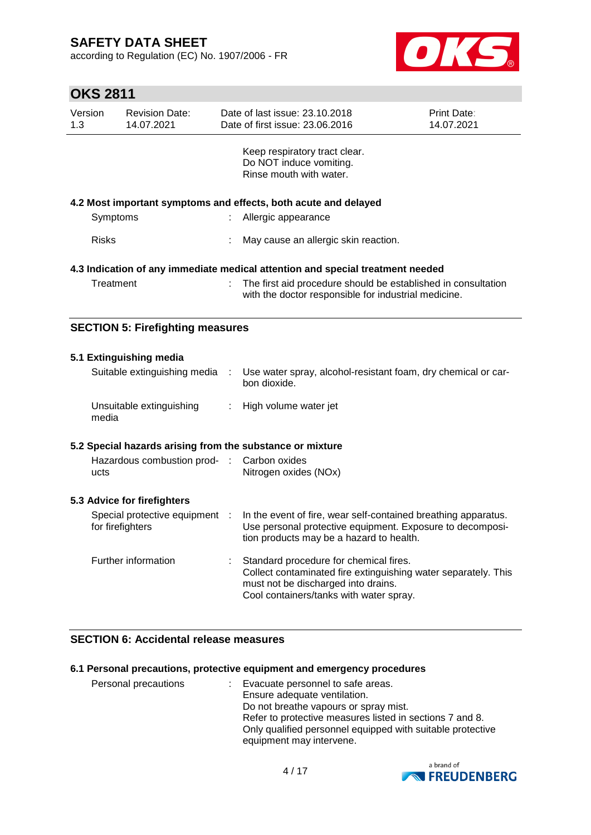according to Regulation (EC) No. 1907/2006 - FR



# **OKS 2811**

| Version<br>1.3                                                                 | <b>Revision Date:</b><br>14.07.2021     |  | Date of last issue: 23.10.2018<br>Date of first issue: 23.06.2016                                                     | <b>Print Date:</b><br>14.07.2021 |
|--------------------------------------------------------------------------------|-----------------------------------------|--|-----------------------------------------------------------------------------------------------------------------------|----------------------------------|
|                                                                                |                                         |  | Keep respiratory tract clear.<br>Do NOT induce vomiting.<br>Rinse mouth with water.                                   |                                  |
|                                                                                |                                         |  | 4.2 Most important symptoms and effects, both acute and delayed                                                       |                                  |
|                                                                                | Symptoms                                |  | Allergic appearance                                                                                                   |                                  |
| <b>Risks</b>                                                                   |                                         |  | May cause an allergic skin reaction.                                                                                  |                                  |
| 4.3 Indication of any immediate medical attention and special treatment needed |                                         |  |                                                                                                                       |                                  |
|                                                                                | Treatment                               |  | The first aid procedure should be established in consultation<br>with the doctor responsible for industrial medicine. |                                  |
|                                                                                | <b>CECTION 5: Eirofiabting moneures</b> |  |                                                                                                                       |                                  |

# **SECTION 5: Firefighting measures**

| 5.1 Extinguishing media                                   |    |                                                                                                                                                                                            |
|-----------------------------------------------------------|----|--------------------------------------------------------------------------------------------------------------------------------------------------------------------------------------------|
| Suitable extinguishing media                              |    | Use water spray, alcohol-resistant foam, dry chemical or car-<br>bon dioxide.                                                                                                              |
| Unsuitable extinguishing<br>media                         | ÷. | High volume water jet                                                                                                                                                                      |
| 5.2 Special hazards arising from the substance or mixture |    |                                                                                                                                                                                            |
| Hazardous combustion prod- : Carbon oxides<br>ucts        |    | Nitrogen oxides (NOx)                                                                                                                                                                      |
| 5.3 Advice for firefighters                               |    |                                                                                                                                                                                            |
| Special protective equipment :<br>for firefighters        |    | In the event of fire, wear self-contained breathing apparatus.<br>Use personal protective equipment. Exposure to decomposi-<br>tion products may be a hazard to health.                    |
| Further information                                       |    | Standard procedure for chemical fires.<br>Collect contaminated fire extinguishing water separately. This<br>must not be discharged into drains.<br>Cool containers/tanks with water spray. |

### **SECTION 6: Accidental release measures**

#### **6.1 Personal precautions, protective equipment and emergency procedures**

| Personal precautions | Evacuate personnel to safe areas.<br>÷.<br>Ensure adequate ventilation.<br>Do not breathe vapours or spray mist.<br>Refer to protective measures listed in sections 7 and 8.<br>Only qualified personnel equipped with suitable protective |
|----------------------|--------------------------------------------------------------------------------------------------------------------------------------------------------------------------------------------------------------------------------------------|
|                      | equipment may intervene.                                                                                                                                                                                                                   |

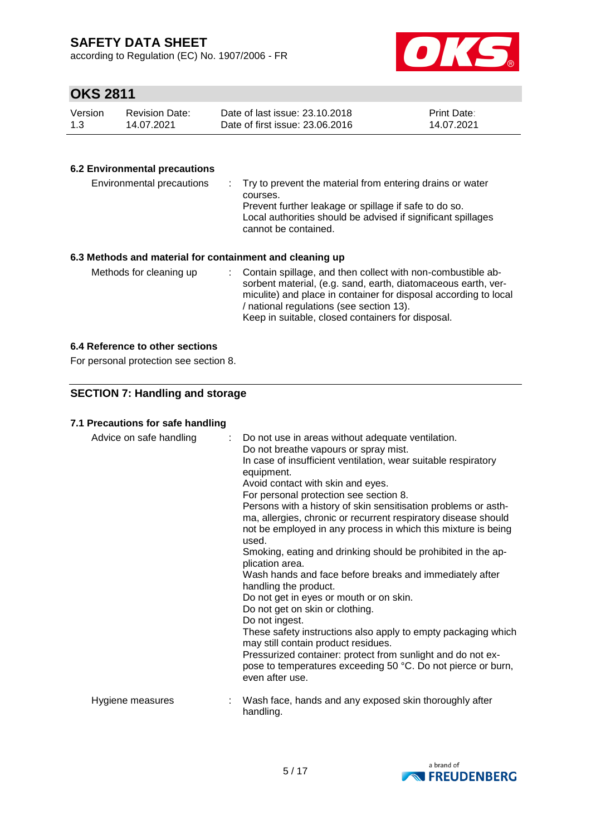according to Regulation (EC) No. 1907/2006 - FR



## **OKS 2811**

| Version | Revision Date: | Date of last issue: 23.10.2018  | <b>Print Date:</b> |
|---------|----------------|---------------------------------|--------------------|
| 1.3     | 14.07.2021     | Date of first issue: 23.06.2016 | 14.07.2021         |

#### **6.2 Environmental precautions**

| Environmental precautions                                | : Try to prevent the material from entering drains or water<br>courses.<br>Prevent further leakage or spillage if safe to do so.<br>Local authorities should be advised if significant spillages<br>cannot be contained. |
|----------------------------------------------------------|--------------------------------------------------------------------------------------------------------------------------------------------------------------------------------------------------------------------------|
| 6.3 Methods and material for containment and cleaning up |                                                                                                                                                                                                                          |

Methods for cleaning up : Contain spillage, and then collect with non-combustible absorbent material, (e.g. sand, earth, diatomaceous earth, vermiculite) and place in container for disposal according to local / national regulations (see section 13). Keep in suitable, closed containers for disposal.

#### **6.4 Reference to other sections**

For personal protection see section 8.

#### **SECTION 7: Handling and storage**

#### **7.1 Precautions for safe handling**

| Advice on safe handling | : Do not use in areas without adequate ventilation.<br>Do not breathe vapours or spray mist.<br>In case of insufficient ventilation, wear suitable respiratory<br>equipment.<br>Avoid contact with skin and eyes.<br>For personal protection see section 8.<br>Persons with a history of skin sensitisation problems or asth-<br>ma, allergies, chronic or recurrent respiratory disease should<br>not be employed in any process in which this mixture is being<br>used.<br>Smoking, eating and drinking should be prohibited in the ap-<br>plication area.<br>Wash hands and face before breaks and immediately after<br>handling the product.<br>Do not get in eyes or mouth or on skin.<br>Do not get on skin or clothing.<br>Do not ingest.<br>These safety instructions also apply to empty packaging which<br>may still contain product residues.<br>Pressurized container: protect from sunlight and do not ex-<br>pose to temperatures exceeding 50 °C. Do not pierce or burn,<br>even after use. |
|-------------------------|------------------------------------------------------------------------------------------------------------------------------------------------------------------------------------------------------------------------------------------------------------------------------------------------------------------------------------------------------------------------------------------------------------------------------------------------------------------------------------------------------------------------------------------------------------------------------------------------------------------------------------------------------------------------------------------------------------------------------------------------------------------------------------------------------------------------------------------------------------------------------------------------------------------------------------------------------------------------------------------------------------|
| Hygiene measures        | Wash face, hands and any exposed skin thoroughly after<br>handling.                                                                                                                                                                                                                                                                                                                                                                                                                                                                                                                                                                                                                                                                                                                                                                                                                                                                                                                                        |

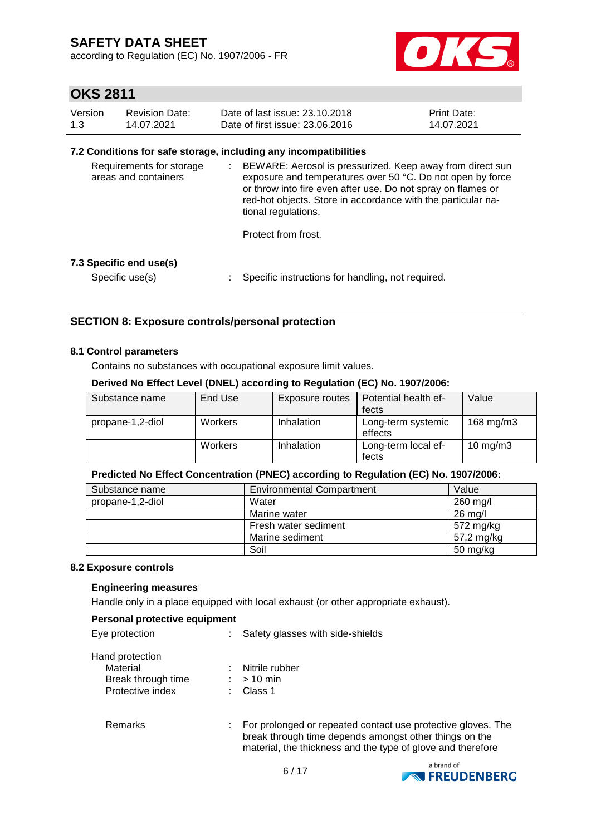according to Regulation (EC) No. 1907/2006 - FR



## **OKS 2811**

| Version | Revision Date: | Date of last issue: 23.10.2018  | <b>Print Date:</b> |
|---------|----------------|---------------------------------|--------------------|
| 1.3     | 14.07.2021     | Date of first issue: 23.06.2016 | 14.07.2021         |

#### **7.2 Conditions for safe storage, including any incompatibilities**

| Requirements for storage<br>areas and containers | BEWARE: Aerosol is pressurized. Keep away from direct sun<br>exposure and temperatures over 50 °C. Do not open by force<br>or throw into fire even after use. Do not spray on flames or<br>red-hot objects. Store in accordance with the particular na-<br>tional regulations.<br>Protect from frost. |
|--------------------------------------------------|-------------------------------------------------------------------------------------------------------------------------------------------------------------------------------------------------------------------------------------------------------------------------------------------------------|
| 7.3 Specific end use(s)                          |                                                                                                                                                                                                                                                                                                       |

Specific use(s) : Specific instructions for handling, not required.

#### **SECTION 8: Exposure controls/personal protection**

#### **8.1 Control parameters**

Contains no substances with occupational exposure limit values.

#### **Derived No Effect Level (DNEL) according to Regulation (EC) No. 1907/2006:**

| Substance name   | End Use        | Exposure routes | Potential health ef-          | Value               |
|------------------|----------------|-----------------|-------------------------------|---------------------|
|                  |                |                 | fects                         |                     |
| propane-1,2-diol | Workers        | Inhalation      | Long-term systemic<br>effects | 168 mg/m3           |
|                  | <b>Workers</b> | Inhalation      | Long-term local ef-<br>fects  | $10 \text{ mg/m}$ 3 |

#### **Predicted No Effect Concentration (PNEC) according to Regulation (EC) No. 1907/2006:**

| Substance name   | <b>Environmental Compartment</b> | Value      |
|------------------|----------------------------------|------------|
| propane-1,2-diol | Water                            | 260 mg/l   |
|                  | Marine water                     | 26 mg/l    |
|                  | Fresh water sediment             | 572 mg/kg  |
|                  | Marine sediment                  | 57,2 mg/kg |
|                  | Soil                             | 50 mg/kg   |

#### **8.2 Exposure controls**

#### **Engineering measures**

Handle only in a place equipped with local exhaust (or other appropriate exhaust).

#### **Personal protective equipment**

| Eye protection     | Safety glasses with side-shields                                                                                                                                                      |
|--------------------|---------------------------------------------------------------------------------------------------------------------------------------------------------------------------------------|
| Hand protection    |                                                                                                                                                                                       |
| Material           | Nitrile rubber                                                                                                                                                                        |
| Break through time | $>10$ min                                                                                                                                                                             |
| Protective index   | Class 1                                                                                                                                                                               |
| Remarks            | For prolonged or repeated contact use protective gloves. The<br>break through time depends amongst other things on the<br>material, the thickness and the type of glove and therefore |

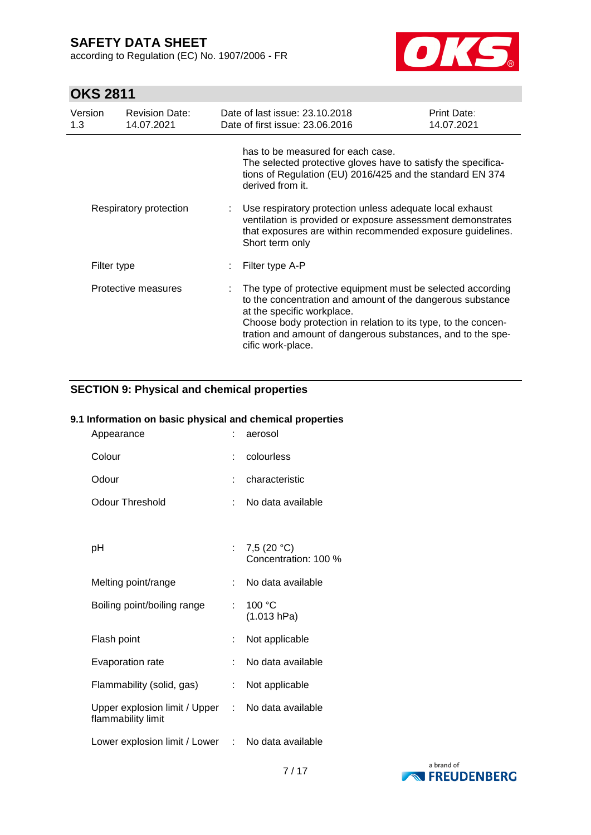according to Regulation (EC) No. 1907/2006 - FR



# **OKS 2811**

| Version<br>1.3 | <b>Revision Date:</b><br>14.07.2021 | Date of last issue: 23.10.2018<br>Date of first issue: 23.06.2016                                                                                                                                                                                                                                             | Print Date:<br>14.07.2021 |
|----------------|-------------------------------------|---------------------------------------------------------------------------------------------------------------------------------------------------------------------------------------------------------------------------------------------------------------------------------------------------------------|---------------------------|
|                |                                     | has to be measured for each case.<br>The selected protective gloves have to satisfy the specifica-<br>tions of Regulation (EU) 2016/425 and the standard EN 374<br>derived from it.                                                                                                                           |                           |
|                | Respiratory protection              | Use respiratory protection unless adequate local exhaust<br>ventilation is provided or exposure assessment demonstrates<br>that exposures are within recommended exposure guidelines.<br>Short term only                                                                                                      |                           |
| Filter type    |                                     | Filter type A-P                                                                                                                                                                                                                                                                                               |                           |
|                | Protective measures                 | The type of protective equipment must be selected according<br>to the concentration and amount of the dangerous substance<br>at the specific workplace.<br>Choose body protection in relation to its type, to the concen-<br>tration and amount of dangerous substances, and to the spe-<br>cific work-place. |                           |

# **SECTION 9: Physical and chemical properties**

#### **9.1 Information on basic physical and chemical properties**

| Appearance                                                              |    | aerosol                               |
|-------------------------------------------------------------------------|----|---------------------------------------|
| Colour                                                                  | ÷. | colourless                            |
| Odour                                                                   |    | characteristic                        |
| <b>Odour Threshold</b>                                                  |    | No data available                     |
|                                                                         |    |                                       |
| рH                                                                      |    | 7,5 $(20 °C)$<br>Concentration: 100 % |
| Melting point/range                                                     | t. | No data available                     |
| Boiling point/boiling range                                             | t. | 100 °C<br>(1.013 hPa)                 |
| Flash point                                                             |    | Not applicable                        |
| Evaporation rate                                                        | t. | No data available                     |
| Flammability (solid, gas)                                               | t. | Not applicable                        |
| Upper explosion limit / Upper : No data available<br>flammability limit |    |                                       |
| Lower explosion limit / Lower : No data available                       |    |                                       |

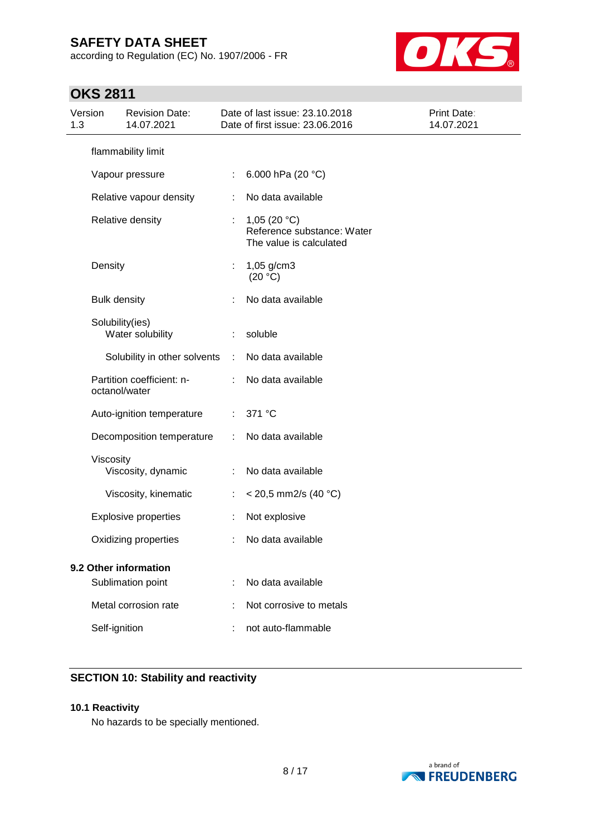according to Regulation (EC) No. 1907/2006 - FR



# **OKS 2811**

| 1.3 | Version             | <b>Revision Date:</b><br>14.07.2021        |                       | Date of last issue: 23.10.2018<br>Date of first issue: 23.06.2016       | Print Date:<br>14.07.2021 |
|-----|---------------------|--------------------------------------------|-----------------------|-------------------------------------------------------------------------|---------------------------|
|     |                     | flammability limit                         |                       |                                                                         |                           |
|     |                     | Vapour pressure                            | ÷.                    | 6.000 hPa (20 °C)                                                       |                           |
|     |                     | Relative vapour density                    | ÷                     | No data available                                                       |                           |
|     |                     | Relative density                           | ÷                     | 1,05 $(20 °C)$<br>Reference substance: Water<br>The value is calculated |                           |
|     | Density             |                                            |                       | $1,05$ g/cm3<br>(20 °C)                                                 |                           |
|     | <b>Bulk density</b> |                                            | ÷                     | No data available                                                       |                           |
|     |                     | Solubility(ies)<br>Water solubility        | ÷                     | soluble                                                                 |                           |
|     |                     | Solubility in other solvents               | $\mathbb{C}^{\times}$ | No data available                                                       |                           |
|     |                     | Partition coefficient: n-<br>octanol/water |                       | No data available                                                       |                           |
|     |                     | Auto-ignition temperature                  | ÷                     | 371 °C                                                                  |                           |
|     |                     | Decomposition temperature                  | ÷                     | No data available                                                       |                           |
|     | Viscosity           | Viscosity, dynamic                         | ÷                     | No data available                                                       |                           |
|     |                     | Viscosity, kinematic                       | ÷.                    | $<$ 20,5 mm2/s (40 °C)                                                  |                           |
|     |                     | <b>Explosive properties</b>                | t                     | Not explosive                                                           |                           |
|     |                     | Oxidizing properties                       |                       | No data available                                                       |                           |
|     |                     | 9.2 Other information<br>Sublimation point |                       | No data available                                                       |                           |
|     |                     | Metal corrosion rate                       |                       | Not corrosive to metals                                                 |                           |
|     | Self-ignition       |                                            |                       | not auto-flammable                                                      |                           |

### **SECTION 10: Stability and reactivity**

#### **10.1 Reactivity**

No hazards to be specially mentioned.

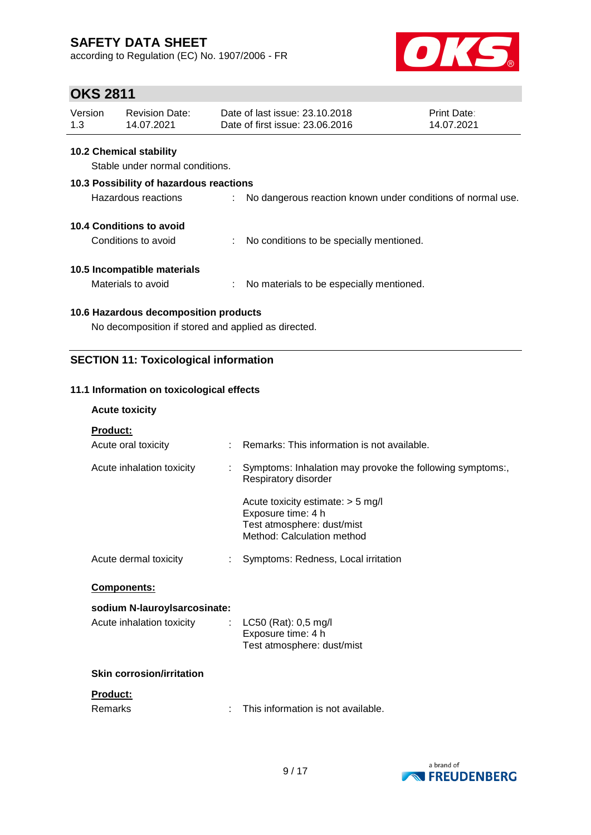according to Regulation (EC) No. 1907/2006 - FR



# **OKS 2811**

| Version | Revision Date: | Date of last issue: 23.10.2018  | <b>Print Date:</b> |
|---------|----------------|---------------------------------|--------------------|
| 1.3     | 14.07.2021     | Date of first issue: 23,06,2016 | 14.07.2021         |

#### **10.2 Chemical stability**

Stable under normal conditions.

#### **10.3 Possibility of hazardous reactions**

| Hazardous reactions |  | No dangerous reaction known under conditions of normal use. |
|---------------------|--|-------------------------------------------------------------|
|---------------------|--|-------------------------------------------------------------|

#### **10.4 Conditions to avoid**

Conditions to avoid : No conditions to be specially mentioned.

#### **10.5 Incompatible materials**

Materials to avoid : No materials to be especially mentioned.

#### **10.6 Hazardous decomposition products**

No decomposition if stored and applied as directed.

#### **SECTION 11: Toxicological information**

#### **11.1 Information on toxicological effects**

#### **Acute toxicity**

| <b>Product:</b>                  |                                                                                                                       |
|----------------------------------|-----------------------------------------------------------------------------------------------------------------------|
| Acute oral toxicity              | Remarks: This information is not available.                                                                           |
| Acute inhalation toxicity        | Symptoms: Inhalation may provoke the following symptoms:,<br>Respiratory disorder                                     |
|                                  | Acute toxicity estimate: $>$ 5 mg/l<br>Exposure time: 4 h<br>Test atmosphere: dust/mist<br>Method: Calculation method |
| Acute dermal toxicity            | Symptoms: Redness, Local irritation                                                                                   |
| <b>Components:</b>               |                                                                                                                       |
| sodium N-lauroyIsarcosinate:     |                                                                                                                       |
| Acute inhalation toxicity        | : $LC50$ (Rat): 0,5 mg/l<br>Exposure time: 4 h<br>Test atmosphere: dust/mist                                          |
| <b>Skin corrosion/irritation</b> |                                                                                                                       |
| <b>Product:</b>                  |                                                                                                                       |

| Remarks | This information is not available. |
|---------|------------------------------------|
|---------|------------------------------------|

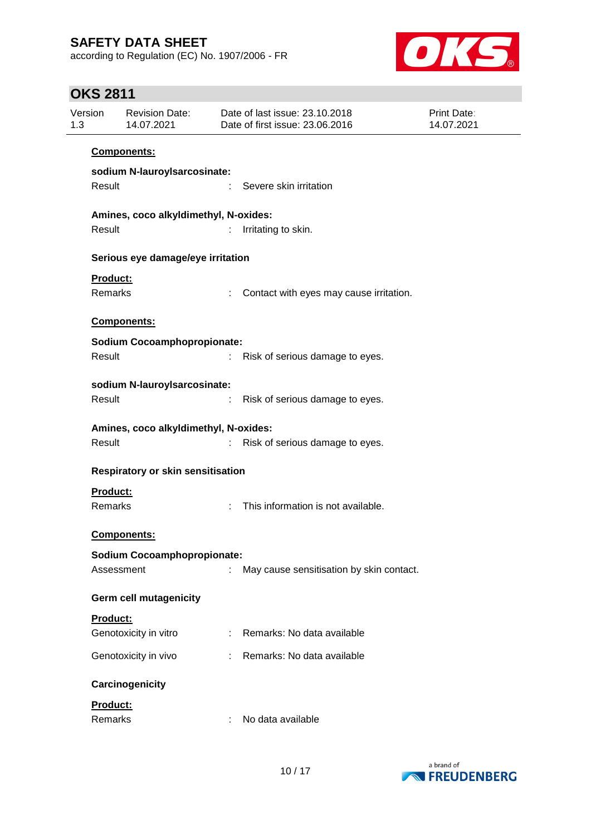according to Regulation (EC) No. 1907/2006 - FR



# **OKS 2811**

| Version<br>1.3 |                                       | <b>Revision Date:</b><br>14.07.2021   |   | Date of last issue: 23.10.2018<br>Date of first issue: 23.06.2016 | <b>Print Date:</b><br>14.07.2021 |  |  |  |  |  |
|----------------|---------------------------------------|---------------------------------------|---|-------------------------------------------------------------------|----------------------------------|--|--|--|--|--|
|                |                                       | Components:                           |   |                                                                   |                                  |  |  |  |  |  |
|                | sodium N-lauroylsarcosinate:          |                                       |   |                                                                   |                                  |  |  |  |  |  |
|                | Result                                |                                       |   | Severe skin irritation                                            |                                  |  |  |  |  |  |
|                | Amines, coco alkyldimethyl, N-oxides: |                                       |   |                                                                   |                                  |  |  |  |  |  |
|                | Result                                |                                       |   | Irritating to skin.                                               |                                  |  |  |  |  |  |
|                | Serious eye damage/eye irritation     |                                       |   |                                                                   |                                  |  |  |  |  |  |
|                | Product:                              |                                       |   |                                                                   |                                  |  |  |  |  |  |
|                | Remarks                               |                                       |   | Contact with eyes may cause irritation.                           |                                  |  |  |  |  |  |
|                |                                       | Components:                           |   |                                                                   |                                  |  |  |  |  |  |
|                |                                       | <b>Sodium Cocoamphopropionate:</b>    |   |                                                                   |                                  |  |  |  |  |  |
|                | Result                                |                                       | ÷ | Risk of serious damage to eyes.                                   |                                  |  |  |  |  |  |
|                |                                       | sodium N-lauroyIsarcosinate:          |   |                                                                   |                                  |  |  |  |  |  |
|                | Result                                |                                       |   | Risk of serious damage to eyes.                                   |                                  |  |  |  |  |  |
|                |                                       | Amines, coco alkyldimethyl, N-oxides: |   |                                                                   |                                  |  |  |  |  |  |
|                | Result                                |                                       |   | Risk of serious damage to eyes.                                   |                                  |  |  |  |  |  |
|                |                                       | Respiratory or skin sensitisation     |   |                                                                   |                                  |  |  |  |  |  |
|                | Product:                              |                                       |   |                                                                   |                                  |  |  |  |  |  |
|                | Remarks                               |                                       |   | This information is not available.                                |                                  |  |  |  |  |  |
|                |                                       | Components:                           |   |                                                                   |                                  |  |  |  |  |  |
|                |                                       | <b>Sodium Cocoamphopropionate:</b>    |   |                                                                   |                                  |  |  |  |  |  |
|                | Assessment                            |                                       |   | May cause sensitisation by skin contact.                          |                                  |  |  |  |  |  |
|                |                                       | <b>Germ cell mutagenicity</b>         |   |                                                                   |                                  |  |  |  |  |  |
|                | Product:                              |                                       |   |                                                                   |                                  |  |  |  |  |  |
|                |                                       | Genotoxicity in vitro                 |   | Remarks: No data available                                        |                                  |  |  |  |  |  |
|                |                                       | Genotoxicity in vivo                  |   | Remarks: No data available                                        |                                  |  |  |  |  |  |
|                |                                       | Carcinogenicity                       |   |                                                                   |                                  |  |  |  |  |  |
|                | Product:                              |                                       |   |                                                                   |                                  |  |  |  |  |  |
|                | Remarks                               |                                       |   | No data available                                                 |                                  |  |  |  |  |  |

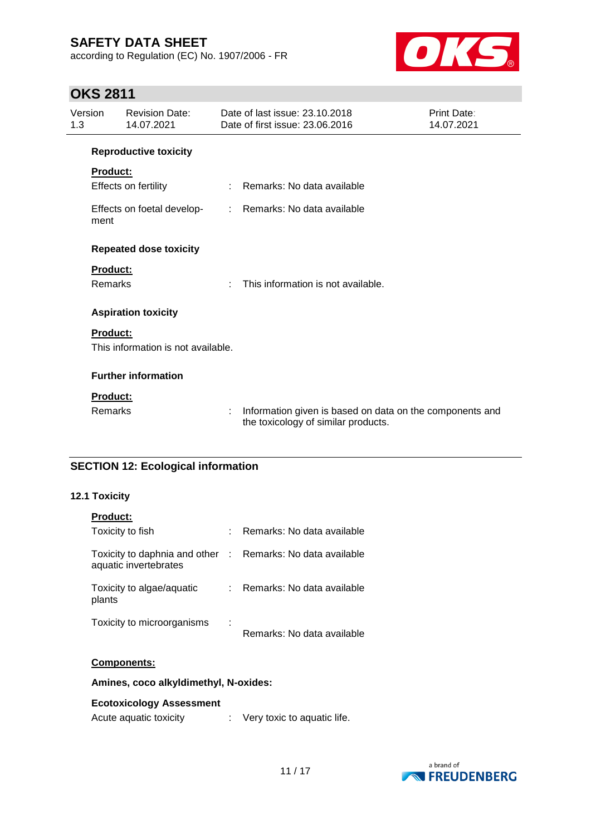according to Regulation (EC) No. 1907/2006 - FR



# **OKS 2811**

| Version<br>1.3 |                 | <b>Revision Date:</b><br>14.07.2021 |    | Date of last issue: 23.10.2018<br>Date of first issue: 23.06.2016                               | Print Date:<br>14.07.2021 |
|----------------|-----------------|-------------------------------------|----|-------------------------------------------------------------------------------------------------|---------------------------|
|                |                 | <b>Reproductive toxicity</b>        |    |                                                                                                 |                           |
|                | Product:        |                                     |    |                                                                                                 |                           |
|                |                 | Effects on fertility                | ÷. | Remarks: No data available                                                                      |                           |
|                | ment            | Effects on foetal develop-          |    | : Remarks: No data available                                                                    |                           |
|                |                 | <b>Repeated dose toxicity</b>       |    |                                                                                                 |                           |
|                | <b>Product:</b> |                                     |    |                                                                                                 |                           |
|                | Remarks         |                                     | ÷. | This information is not available.                                                              |                           |
|                |                 | <b>Aspiration toxicity</b>          |    |                                                                                                 |                           |
|                | <b>Product:</b> |                                     |    |                                                                                                 |                           |
|                |                 | This information is not available.  |    |                                                                                                 |                           |
|                |                 | <b>Further information</b>          |    |                                                                                                 |                           |
|                | <b>Product:</b> |                                     |    |                                                                                                 |                           |
|                | Remarks         |                                     | ÷  | Information given is based on data on the components and<br>the toxicology of similar products. |                           |

### **SECTION 12: Ecological information**

#### **12.1 Toxicity**

| <b>Product:</b>                                        |         |                              |
|--------------------------------------------------------|---------|------------------------------|
| Toxicity to fish                                       |         | Remarks: No data available   |
| Toxicity to daphnia and other<br>aquatic invertebrates |         | : Remarks: No data available |
| Toxicity to algae/aquatic<br>plants                    |         | Remarks: No data available   |
| Toxicity to microorganisms                             | ٠<br>Ĭ. | Remarks: No data available   |

#### **Components:**

**Amines, coco alkyldimethyl, N-oxides:**

#### **Ecotoxicology Assessment**

Acute aquatic toxicity : Very toxic to aquatic life.

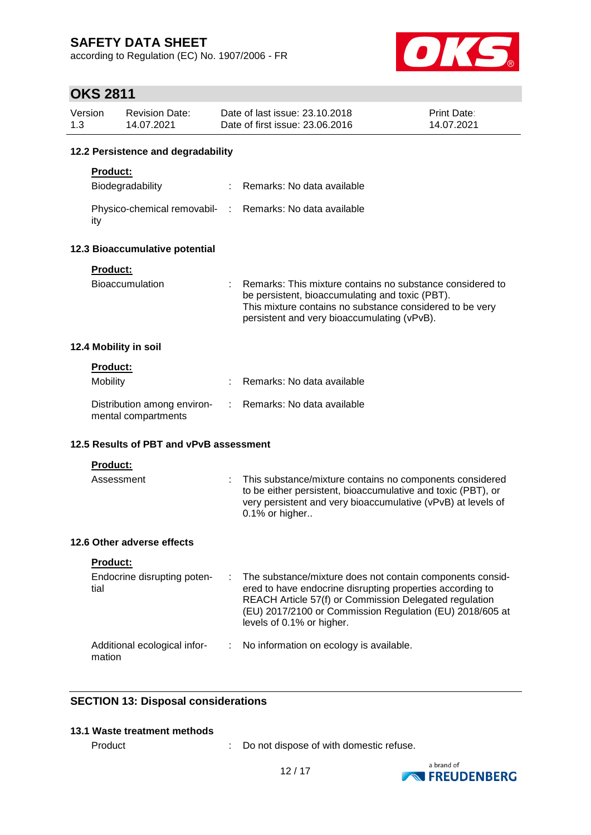according to Regulation (EC) No. 1907/2006 - FR



# **OKS 2811**

| Version<br>1.3 |                 | <b>Revision Date:</b><br>14.07.2021                |      | Date of last issue: 23.10.2018<br>Date of first issue: 23.06.2016                                                                                                                                                                                                         | <b>Print Date:</b><br>14.07.2021 |  |  |  |  |  |
|----------------|-----------------|----------------------------------------------------|------|---------------------------------------------------------------------------------------------------------------------------------------------------------------------------------------------------------------------------------------------------------------------------|----------------------------------|--|--|--|--|--|
|                |                 | 12.2 Persistence and degradability                 |      |                                                                                                                                                                                                                                                                           |                                  |  |  |  |  |  |
|                | <b>Product:</b> |                                                    |      |                                                                                                                                                                                                                                                                           |                                  |  |  |  |  |  |
|                |                 | Biodegradability                                   |      | Remarks: No data available                                                                                                                                                                                                                                                |                                  |  |  |  |  |  |
|                | ity             | Physico-chemical removabil-                        | - to | Remarks: No data available                                                                                                                                                                                                                                                |                                  |  |  |  |  |  |
|                |                 | 12.3 Bioaccumulative potential                     |      |                                                                                                                                                                                                                                                                           |                                  |  |  |  |  |  |
|                | Product:        | <b>Bioaccumulation</b>                             |      | Remarks: This mixture contains no substance considered to<br>be persistent, bioaccumulating and toxic (PBT).<br>This mixture contains no substance considered to be very<br>persistent and very bioaccumulating (vPvB).                                                   |                                  |  |  |  |  |  |
|                |                 | 12.4 Mobility in soil                              |      |                                                                                                                                                                                                                                                                           |                                  |  |  |  |  |  |
|                | Product:        |                                                    |      |                                                                                                                                                                                                                                                                           |                                  |  |  |  |  |  |
|                | <b>Mobility</b> |                                                    |      | Remarks: No data available                                                                                                                                                                                                                                                |                                  |  |  |  |  |  |
|                |                 | Distribution among environ-<br>mental compartments |      | Remarks: No data available                                                                                                                                                                                                                                                |                                  |  |  |  |  |  |
|                |                 | 12.5 Results of PBT and vPvB assessment            |      |                                                                                                                                                                                                                                                                           |                                  |  |  |  |  |  |
|                | Product:        |                                                    |      |                                                                                                                                                                                                                                                                           |                                  |  |  |  |  |  |
|                | Assessment      |                                                    |      | This substance/mixture contains no components considered<br>to be either persistent, bioaccumulative and toxic (PBT), or<br>very persistent and very bioaccumulative (vPvB) at levels of<br>0.1% or higher                                                                |                                  |  |  |  |  |  |
|                |                 | 12.6 Other adverse effects                         |      |                                                                                                                                                                                                                                                                           |                                  |  |  |  |  |  |
|                | <b>Product:</b> |                                                    |      |                                                                                                                                                                                                                                                                           |                                  |  |  |  |  |  |
|                | tial            | Endocrine disrupting poten-                        |      | The substance/mixture does not contain components consid-<br>ered to have endocrine disrupting properties according to<br>REACH Article 57(f) or Commission Delegated regulation<br>(EU) 2017/2100 or Commission Regulation (EU) 2018/605 at<br>levels of 0.1% or higher. |                                  |  |  |  |  |  |
|                | mation          | Additional ecological infor-                       |      | No information on ecology is available.                                                                                                                                                                                                                                   |                                  |  |  |  |  |  |

## **SECTION 13: Disposal considerations**

#### **13.1 Waste treatment methods**

Product : Do not dispose of with domestic refuse.

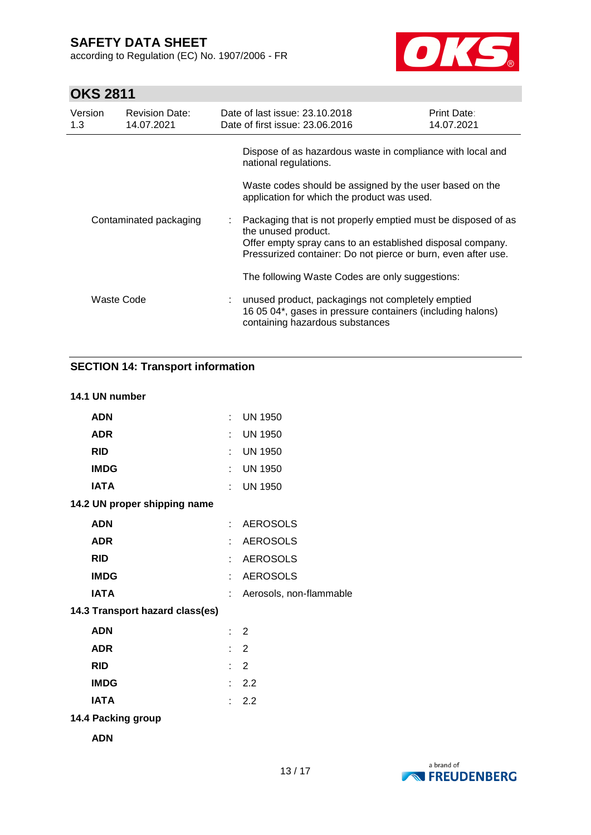according to Regulation (EC) No. 1907/2006 - FR



# **OKS 2811**

| Version<br>1.3         | <b>Revision Date:</b><br>14.07.2021 | Date of last issue: 23.10.2018<br>Date of first issue: 23.06.2016                                                                                                                                                     | <b>Print Date:</b><br>14.07.2021 |
|------------------------|-------------------------------------|-----------------------------------------------------------------------------------------------------------------------------------------------------------------------------------------------------------------------|----------------------------------|
|                        |                                     | Dispose of as hazardous waste in compliance with local and<br>national regulations.                                                                                                                                   |                                  |
|                        |                                     | Waste codes should be assigned by the user based on the<br>application for which the product was used.                                                                                                                |                                  |
| Contaminated packaging |                                     | : Packaging that is not properly emptied must be disposed of as<br>the unused product.<br>Offer empty spray cans to an established disposal company.<br>Pressurized container: Do not pierce or burn, even after use. |                                  |
|                        |                                     | The following Waste Codes are only suggestions:                                                                                                                                                                       |                                  |
|                        | Waste Code                          | : unused product, packagings not completely emptied<br>16 05 04*, gases in pressure containers (including halons)<br>containing hazardous substances                                                                  |                                  |

### **SECTION 14: Transport information**

#### **14.1 UN number**

| <b>ADN</b>                      |    | $:$ UN 1950             |
|---------------------------------|----|-------------------------|
| <b>ADR</b>                      | t. | <b>UN 1950</b>          |
| <b>RID</b>                      | t. | <b>UN 1950</b>          |
| <b>IMDG</b>                     |    | : UN 1950               |
| <b>IATA</b>                     | t. | <b>UN 1950</b>          |
| 14.2 UN proper shipping name    |    |                         |
| <b>ADN</b>                      |    | : AEROSOLS              |
| <b>ADR</b>                      | t. | <b>AEROSOLS</b>         |
| <b>RID</b>                      | t. | <b>AEROSOLS</b>         |
| <b>IMDG</b>                     |    | : AEROSOLS              |
| <b>IATA</b>                     | t. | Aerosols, non-flammable |
| 14.3 Transport hazard class(es) |    |                         |
| <b>ADN</b>                      |    | $\therefore$ 2          |
| <b>ADR</b>                      |    | $\therefore$ 2          |
| <b>RID</b>                      |    | $\therefore$ 2          |
| <b>IMDG</b>                     |    | : 2.2                   |
| <b>IATA</b>                     |    | $\therefore$ 2.2        |
| 14.4 Packing group              |    |                         |
|                                 |    |                         |

**ADN**

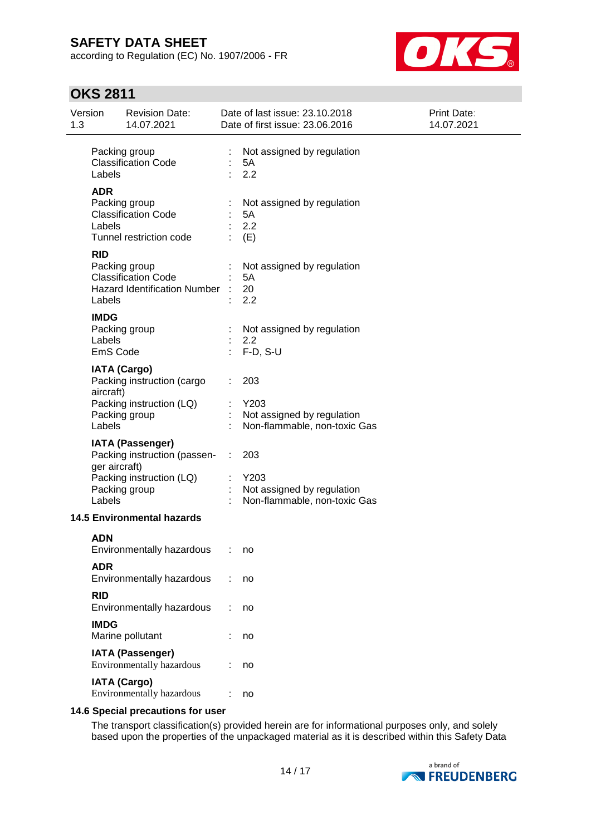according to Regulation (EC) No. 1907/2006 - FR



# **OKS 2811**

| 1.3 | Version                           | <b>Revision Date:</b><br>14.07.2021                                                                  |                            | Date of last issue: 23.10.2018<br>Date of first issue: 23.06.2016         | <b>Print Date:</b><br>14.07.2021 |
|-----|-----------------------------------|------------------------------------------------------------------------------------------------------|----------------------------|---------------------------------------------------------------------------|----------------------------------|
|     | Labels                            | Packing group<br><b>Classification Code</b>                                                          | t,                         | Not assigned by regulation<br>5A<br>2.2                                   |                                  |
|     | <b>ADR</b><br>Labels              | Packing group<br><b>Classification Code</b><br>Tunnel restriction code                               |                            | Not assigned by regulation<br>5A<br>2.2<br>(E)                            |                                  |
|     | <b>RID</b><br>Labels              | Packing group<br><b>Classification Code</b><br>Hazard Identification Number :                        |                            | Not assigned by regulation<br>5A<br>20<br>2.2                             |                                  |
|     | <b>IMDG</b><br>Labels<br>EmS Code | Packing group                                                                                        | $\mathcal{L}^{\text{max}}$ | Not assigned by regulation<br>2.2<br>$F-D, S-U$                           |                                  |
|     | aircraft)<br>Labels               | <b>IATA (Cargo)</b><br>Packing instruction (cargo<br>Packing instruction (LQ)<br>Packing group       |                            | 203<br>Y203<br>Not assigned by regulation<br>Non-flammable, non-toxic Gas |                                  |
|     | ger aircraft)<br>Labels           | <b>IATA (Passenger)</b><br>Packing instruction (passen-<br>Packing instruction (LQ)<br>Packing group | ÷.                         | 203<br>Y203<br>Not assigned by regulation<br>Non-flammable, non-toxic Gas |                                  |
|     |                                   | <b>14.5 Environmental hazards</b>                                                                    |                            |                                                                           |                                  |
|     | <b>ADN</b>                        | Environmentally hazardous                                                                            |                            | no                                                                        |                                  |
|     | <b>ADR</b>                        | Environmentally hazardous                                                                            |                            | no                                                                        |                                  |
|     | <b>RID</b>                        | Environmentally hazardous                                                                            |                            | no                                                                        |                                  |
|     | <b>IMDG</b>                       | Marine pollutant                                                                                     |                            | no                                                                        |                                  |
|     |                                   | <b>IATA (Passenger)</b><br>Environmentally hazardous                                                 |                            | no                                                                        |                                  |
|     |                                   | <b>IATA (Cargo)</b><br>Environmentally hazardous                                                     |                            | no                                                                        |                                  |

#### **14.6 Special precautions for user**

The transport classification(s) provided herein are for informational purposes only, and solely based upon the properties of the unpackaged material as it is described within this Safety Data

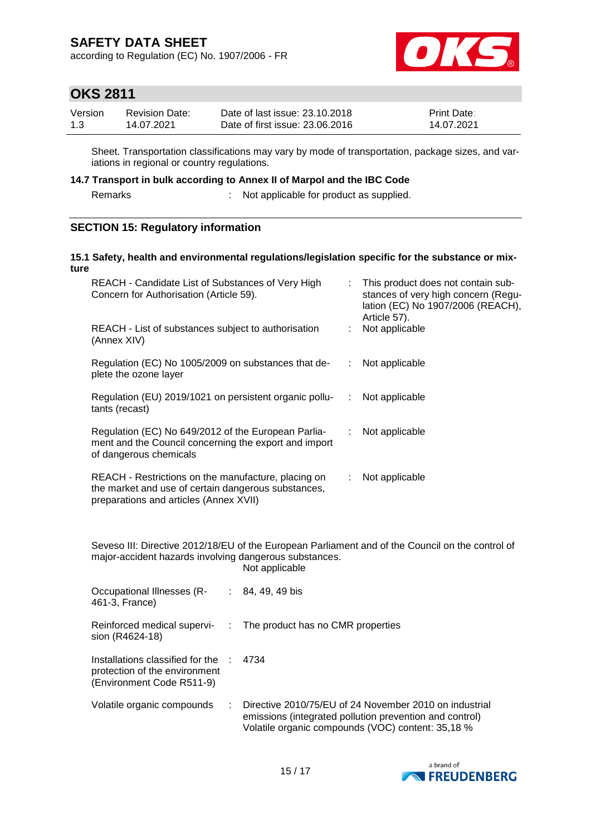according to Regulation (EC) No. 1907/2006 - FR



## **OKS 2811**

| Version | Revision Date: | Date of last issue: 23.10.2018  | <b>Print Date:</b> |
|---------|----------------|---------------------------------|--------------------|
| 1.3     | 14.07.2021     | Date of first issue: 23,06,2016 | 14.07.2021         |

Sheet. Transportation classifications may vary by mode of transportation, package sizes, and variations in regional or country regulations.

#### **14.7 Transport in bulk according to Annex II of Marpol and the IBC Code**

Remarks : Not applicable for product as supplied.

#### **SECTION 15: Regulatory information**

#### **15.1 Safety, health and environmental regulations/legislation specific for the substance or mixture**

| REACH - Candidate List of Substances of Very High<br>Concern for Authorisation (Article 59).                                                         |    | : This product does not contain sub-<br>stances of very high concern (Regu-<br>lation (EC) No 1907/2006 (REACH),<br>Article 57). |
|------------------------------------------------------------------------------------------------------------------------------------------------------|----|----------------------------------------------------------------------------------------------------------------------------------|
| REACH - List of substances subject to authorisation<br>(Annex XIV)                                                                                   |    | Not applicable                                                                                                                   |
| Regulation (EC) No 1005/2009 on substances that de-<br>plete the ozone layer                                                                         | ÷. | Not applicable                                                                                                                   |
| Regulation (EU) 2019/1021 on persistent organic pollu-<br>tants (recast)                                                                             | ÷. | Not applicable                                                                                                                   |
| Regulation (EC) No 649/2012 of the European Parlia-<br>ment and the Council concerning the export and import<br>of dangerous chemicals               | ÷  | Not applicable                                                                                                                   |
| REACH - Restrictions on the manufacture, placing on<br>the market and use of certain dangerous substances,<br>preparations and articles (Annex XVII) | ÷. | Not applicable                                                                                                                   |

Seveso III: Directive 2012/18/EU of the European Parliament and of the Council on the control of major-accident hazards involving dangerous substances. Not applicable

| Occupational Illnesses (R-<br>461-3, France)                                                   | $: 84, 49, 49$ bis                                                                                                                                                     |
|------------------------------------------------------------------------------------------------|------------------------------------------------------------------------------------------------------------------------------------------------------------------------|
| Reinforced medical supervi-<br>sion (R4624-18)                                                 | : The product has no CMR properties                                                                                                                                    |
| Installations classified for the<br>protection of the environment<br>(Environment Code R511-9) | 4734                                                                                                                                                                   |
| Volatile organic compounds                                                                     | Directive 2010/75/EU of 24 November 2010 on industrial<br>emissions (integrated pollution prevention and control)<br>Volatile organic compounds (VOC) content: 35,18 % |

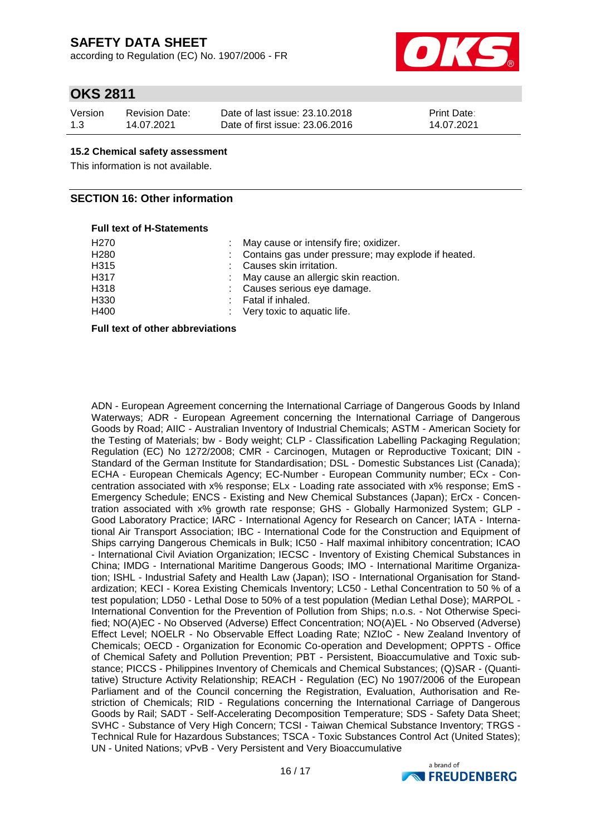according to Regulation (EC) No. 1907/2006 - FR



### **OKS 2811**

| Version | <b>Revision Date:</b> | Date of last issue: 23.10.2018  | <b>Print Date:</b> |
|---------|-----------------------|---------------------------------|--------------------|
| 1.3     | 14.07.2021            | Date of first issue: 23,06,2016 | 14.07.2021         |

#### **15.2 Chemical safety assessment**

This information is not available.

#### **SECTION 16: Other information**

#### **Full text of H-Statements**

| H270 | : May cause or intensify fire; oxidizer.              |
|------|-------------------------------------------------------|
| H280 | : Contains gas under pressure; may explode if heated. |
| H315 | Causes skin irritation.                               |
| H317 | : May cause an allergic skin reaction.                |
| H318 | : Causes serious eye damage.                          |
| H330 | : Fatal if inhaled.                                   |
| H400 | : Very toxic to aquatic life.                         |
|      |                                                       |

#### **Full text of other abbreviations**

ADN - European Agreement concerning the International Carriage of Dangerous Goods by Inland Waterways; ADR - European Agreement concerning the International Carriage of Dangerous Goods by Road; AIIC - Australian Inventory of Industrial Chemicals; ASTM - American Society for the Testing of Materials; bw - Body weight; CLP - Classification Labelling Packaging Regulation; Regulation (EC) No 1272/2008; CMR - Carcinogen, Mutagen or Reproductive Toxicant; DIN - Standard of the German Institute for Standardisation; DSL - Domestic Substances List (Canada); ECHA - European Chemicals Agency; EC-Number - European Community number; ECx - Concentration associated with x% response; ELx - Loading rate associated with x% response; EmS - Emergency Schedule; ENCS - Existing and New Chemical Substances (Japan); ErCx - Concentration associated with x% growth rate response; GHS - Globally Harmonized System; GLP - Good Laboratory Practice; IARC - International Agency for Research on Cancer; IATA - International Air Transport Association; IBC - International Code for the Construction and Equipment of Ships carrying Dangerous Chemicals in Bulk; IC50 - Half maximal inhibitory concentration; ICAO - International Civil Aviation Organization; IECSC - Inventory of Existing Chemical Substances in China; IMDG - International Maritime Dangerous Goods; IMO - International Maritime Organization; ISHL - Industrial Safety and Health Law (Japan); ISO - International Organisation for Standardization; KECI - Korea Existing Chemicals Inventory; LC50 - Lethal Concentration to 50 % of a test population; LD50 - Lethal Dose to 50% of a test population (Median Lethal Dose); MARPOL - International Convention for the Prevention of Pollution from Ships; n.o.s. - Not Otherwise Specified; NO(A)EC - No Observed (Adverse) Effect Concentration; NO(A)EL - No Observed (Adverse) Effect Level; NOELR - No Observable Effect Loading Rate; NZIoC - New Zealand Inventory of Chemicals; OECD - Organization for Economic Co-operation and Development; OPPTS - Office of Chemical Safety and Pollution Prevention; PBT - Persistent, Bioaccumulative and Toxic substance; PICCS - Philippines Inventory of Chemicals and Chemical Substances; (Q)SAR - (Quantitative) Structure Activity Relationship; REACH - Regulation (EC) No 1907/2006 of the European Parliament and of the Council concerning the Registration, Evaluation, Authorisation and Restriction of Chemicals; RID - Regulations concerning the International Carriage of Dangerous Goods by Rail; SADT - Self-Accelerating Decomposition Temperature; SDS - Safety Data Sheet; SVHC - Substance of Very High Concern; TCSI - Taiwan Chemical Substance Inventory; TRGS - Technical Rule for Hazardous Substances; TSCA - Toxic Substances Control Act (United States); UN - United Nations; vPvB - Very Persistent and Very Bioaccumulative